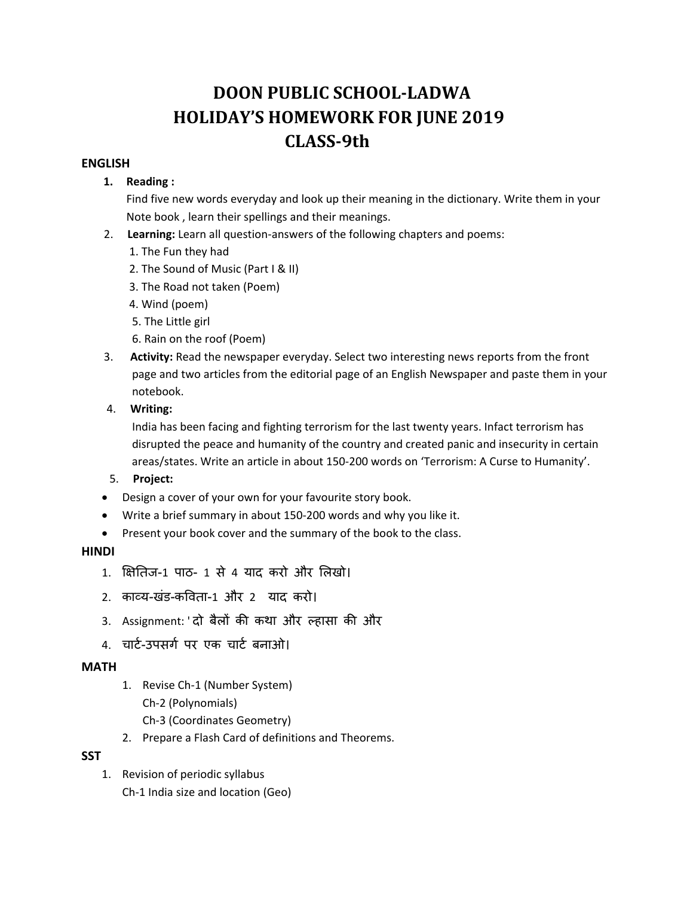# **DOON PUBLIC SCHOOL‐LADWA HOLIDAY'S HOMEWORK FOR JUNE 2019 CLASS‐9th**

#### **ENGLISH**

#### **1. Reading :**

Find five new words everyday and look up their meaning in the dictionary. Write them in your Note book , learn their spellings and their meanings.

- 2. Learning: Learn all question-answers of the following chapters and poems:
	- 1. The Fun they had
	- 2. The Sound of Music (Part I & II)
	- 3. The Road not taken (Poem)
	- 4. Wind (poem)
	- 5. The Little girl
	- 6. Rain on the roof (Poem)
- 3. **Activity:** Read the newspaper everyday. Select two interesting news reports from the front page and two articles from the editorial page of an English Newspaper and paste them in your notebook.
- 4. **Writing:**

 India has been facing and fighting terrorism for the last twenty years. Infact terrorism has disrupted the peace and humanity of the country and created panic and insecurity in certain areas/states. Write an article in about 150‐200 words on 'Terrorism: A Curse to Humanity'.

- 5. **Project:**
- Design a cover of your own for your favourite story book.
- Write a brief summary in about 150‐200 words and why you like it.
- Present your book cover and the summary of the book to the class.

## **HINDI**

- 1. िक्षितज-1 पाठ- 1 से 4 याद करो और िलखो।
- 2. काåय-खंड-किवता-1 और 2 याद करो।
- 3. Assignment: 'दो बैलों की कथा और ल्हासा की और
- 4. चार्ट-उपसर्ग पर एक चार्ट बनाओ।

## **MATH**

- 1. Revise Ch‐1 (Number System) Ch‐2 (Polynomials) Ch‐3 (Coordinates Geometry)
- 2. Prepare a Flash Card of definitions and Theorems.

## **SST**

1. Revision of periodic syllabus Ch‐1 India size and location (Geo)